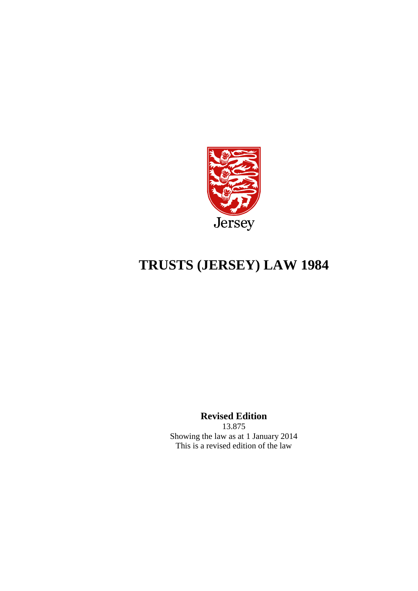

# **TRUSTS (JERSEY) LAW 1984**

**Revised Edition**

13.875 Showing the law as at 1 January 2014 This is a revised edition of the law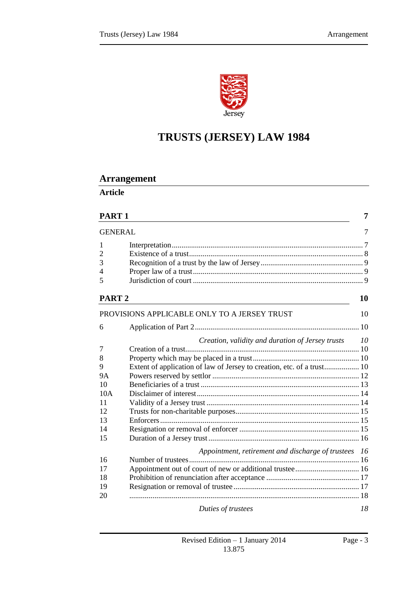

# **TRUSTS (JERSEY) LAW 1984**

# **Arrangement**

**Article**

| PART <sub>1</sub> |                                                                        | 7   |
|-------------------|------------------------------------------------------------------------|-----|
| <b>GENERAL</b>    |                                                                        | 7   |
| 1                 |                                                                        |     |
| $\overline{2}$    |                                                                        |     |
| 3                 |                                                                        |     |
| 4                 |                                                                        |     |
| 5                 |                                                                        |     |
| PART <sub>2</sub> |                                                                        | 10  |
|                   | PROVISIONS APPLICABLE ONLY TO A JERSEY TRUST                           | 10  |
| 6                 |                                                                        |     |
|                   | Creation, validity and duration of Jersey trusts                       | 10  |
| 7                 |                                                                        |     |
| 8                 |                                                                        |     |
| 9                 | Extent of application of law of Jersey to creation, etc. of a trust 10 |     |
| <b>9A</b>         |                                                                        |     |
| 10                |                                                                        |     |
| 10A               |                                                                        |     |
| 11                |                                                                        |     |
| 12                |                                                                        |     |
| 13                |                                                                        |     |
| 14                |                                                                        |     |
| 15                |                                                                        |     |
|                   | Appointment, retirement and discharge of trustees                      | -16 |
| 16                |                                                                        |     |
| 17                |                                                                        |     |
| 18                |                                                                        |     |
| 19                |                                                                        |     |
| 20                |                                                                        |     |
|                   | Duties of trustees                                                     | 18  |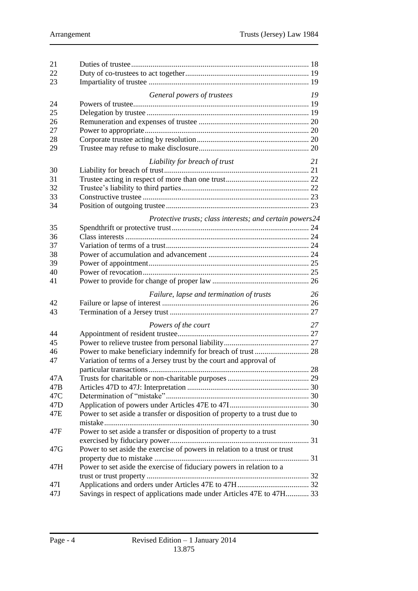| 21              |                                                                            |    |  |
|-----------------|----------------------------------------------------------------------------|----|--|
| 22              |                                                                            |    |  |
| 23              |                                                                            |    |  |
|                 | General powers of trustees                                                 | 19 |  |
| 24              |                                                                            |    |  |
| 25              |                                                                            |    |  |
| 26              |                                                                            |    |  |
| 27              |                                                                            |    |  |
| 28              |                                                                            |    |  |
| 29              |                                                                            |    |  |
|                 |                                                                            |    |  |
|                 | Liability for breach of trust                                              | 21 |  |
| 30              |                                                                            |    |  |
| 31              |                                                                            |    |  |
| 32              |                                                                            |    |  |
| 33              |                                                                            |    |  |
| 34              |                                                                            |    |  |
|                 | Protective trusts; class interests; and certain powers24                   |    |  |
| 35              |                                                                            |    |  |
| 36              |                                                                            |    |  |
| 37              |                                                                            |    |  |
| 38              |                                                                            |    |  |
| 39              |                                                                            |    |  |
| 40              |                                                                            |    |  |
| 41              |                                                                            |    |  |
|                 |                                                                            |    |  |
|                 | Failure, lapse and termination of trusts                                   | 26 |  |
| 42              |                                                                            |    |  |
| 43              |                                                                            |    |  |
|                 | Powers of the court                                                        | 27 |  |
| 44              |                                                                            |    |  |
| 45              |                                                                            |    |  |
| 46              | Power to make beneficiary indemnify for breach of trust  28                |    |  |
| 47              | Variation of terms of a Jersey trust by the court and approval of          |    |  |
|                 |                                                                            |    |  |
| 47A             |                                                                            |    |  |
| 47B             |                                                                            |    |  |
| 47C             |                                                                            |    |  |
| 47 <sub>D</sub> |                                                                            |    |  |
| 47E             | Power to set aside a transfer or disposition of property to a trust due to |    |  |
|                 |                                                                            |    |  |
| 47F             | Power to set aside a transfer or disposition of property to a trust        |    |  |
|                 |                                                                            |    |  |
| 47G             | Power to set aside the exercise of powers in relation to a trust or trust  |    |  |
|                 |                                                                            |    |  |
| 47H             | Power to set aside the exercise of fiduciary powers in relation to a       |    |  |
|                 |                                                                            |    |  |
| 47I             |                                                                            |    |  |
| 47J             | Savings in respect of applications made under Articles 47E to 47H 33       |    |  |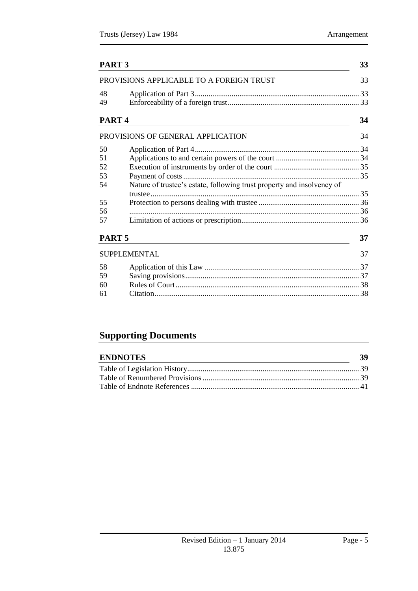|                   | PART <sub>3</sub>                                                      |    |
|-------------------|------------------------------------------------------------------------|----|
|                   | PROVISIONS APPLICABLE TO A FOREIGN TRUST                               | 33 |
| 48                |                                                                        |    |
| 49                |                                                                        |    |
| PART <sub>4</sub> |                                                                        | 34 |
|                   | PROVISIONS OF GENERAL APPLICATION                                      | 34 |
| 50                |                                                                        |    |
| 51                |                                                                        |    |
| 52                |                                                                        |    |
| 53                |                                                                        |    |
| 54                | Nature of trustee's estate, following trust property and insolvency of |    |
|                   |                                                                        |    |
| 55                |                                                                        |    |
| 56                |                                                                        |    |
| 57                |                                                                        |    |
| PART <sub>5</sub> |                                                                        | 37 |
|                   | <b>SUPPLEMENTAL</b>                                                    | 37 |
| 58                |                                                                        |    |
| 59                |                                                                        |    |
| 60                |                                                                        |    |
| 61                |                                                                        |    |
|                   |                                                                        |    |

# **Supporting Documents**

| <b>ENDNOTES</b> | -39 |
|-----------------|-----|
|                 |     |
|                 |     |
|                 |     |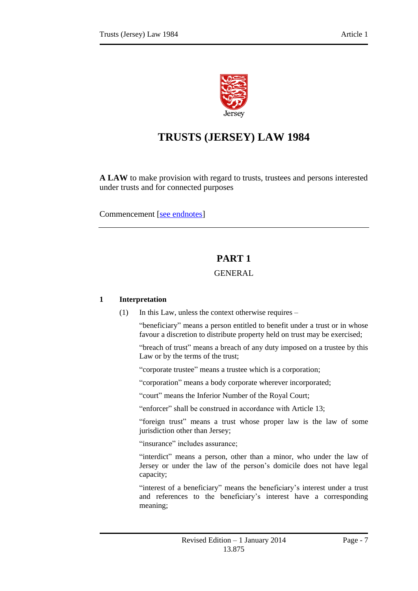

# **TRUSTS (JERSEY) LAW 1984**

**A LAW** to make provision with regard to trusts, trustees and persons interested under trusts and for connected purposes

<span id="page-6-0"></span>Commencement [\[see endnotes\]](#page-38-3)

# **PART 1**

# GENERAL

# <span id="page-6-2"></span><span id="page-6-1"></span>**1 Interpretation**

(1) In this Law, unless the context otherwise requires –

"beneficiary" means a person entitled to benefit under a trust or in whose favour a discretion to distribute property held on trust may be exercised;

"breach of trust" means a breach of any duty imposed on a trustee by this Law or by the terms of the trust;

"corporate trustee" means a trustee which is a corporation;

"corporation" means a body corporate wherever incorporated;

"court" means the Inferior Number of the Royal Court;

"enforcer" shall be construed in accordance with Article 13;

"foreign trust" means a trust whose proper law is the law of some jurisdiction other than Jersey;

"insurance" includes assurance;

"interdict" means a person, other than a minor, who under the law of Jersey or under the law of the person's domicile does not have legal capacity;

"interest of a beneficiary" means the beneficiary's interest under a trust and references to the beneficiary's interest have a corresponding meaning;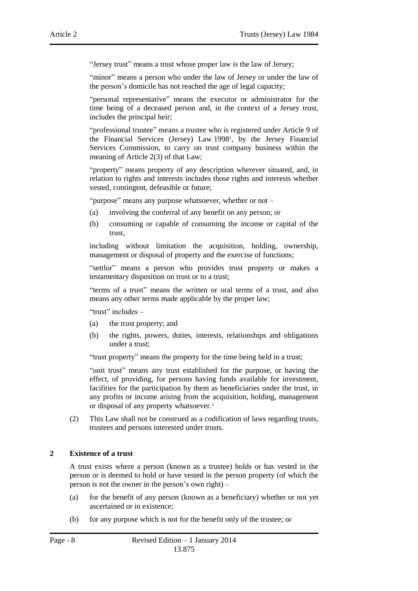"Jersey trust" means a trust whose proper law is the law of Jersey;

"minor" means a person who under the law of Jersey or under the law of the person's domicile has not reached the age of legal capacity;

"personal representative" means the executor or administrator for the time being of a deceased person and, in the context of a Jersey trust, includes the principal heir;

"professional trustee" means a trustee who is registered under Article 9 of the Financial Services (Jersey) Law 1998<sup>1</sup> , by the Jersey Financial Services Commission, to carry on trust company business within the meaning of Article 2(3) of that Law;

"property" means property of any description wherever situated, and, in relation to rights and interests includes those rights and interests whether vested, contingent, defeasible or future;

"purpose" means any purpose whatsoever, whether or not –

- (a) involving the conferral of any benefit on any person; or
- (b) consuming or capable of consuming the income or capital of the trust,

including without limitation the acquisition, holding, ownership, management or disposal of property and the exercise of functions;

"settlor" means a person who provides trust property or makes a testamentary disposition on trust or to a trust;

"terms of a trust" means the written or oral terms of a trust, and also means any other terms made applicable by the proper law;

"trust" includes –

- (a) the trust property; and
- (b) the rights, powers, duties, interests, relationships and obligations under a trust;

"trust property" means the property for the time being held in a trust;

"unit trust" means any trust established for the purpose, or having the effect, of providing, for persons having funds available for investment, facilities for the participation by them as beneficiaries under the trust, in any profits or income arising from the acquisition, holding, management or disposal of any property whatsoever.<sup>2</sup>

(2) This Law shall not be construed as a codification of laws regarding trusts, trustees and persons interested under trusts.

#### <span id="page-7-0"></span>**2 Existence of a trust**

A trust exists where a person (known as a trustee) holds or has vested in the person or is deemed to hold or have vested in the person property (of which the person is not the owner in the person's own right) –

- (a) for the benefit of any person (known as a beneficiary) whether or not yet ascertained or in existence;
- (b) for any purpose which is not for the benefit only of the trustee; or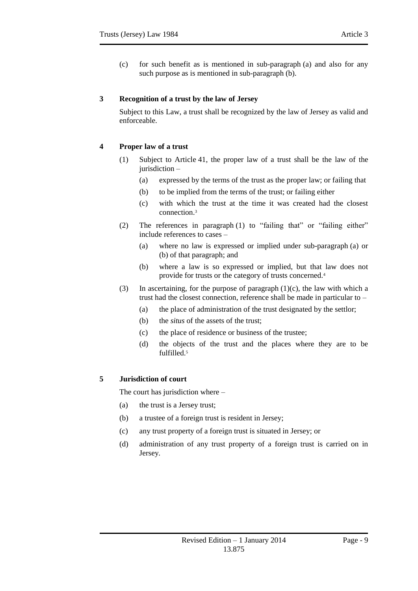(c) for such benefit as is mentioned in sub-paragraph (a) and also for any such purpose as is mentioned in sub-paragraph (b).

# <span id="page-8-0"></span>**3 Recognition of a trust by the law of Jersey**

Subject to this Law, a trust shall be recognized by the law of Jersey as valid and enforceable.

# <span id="page-8-1"></span>**4 Proper law of a trust**

- (1) Subject to Article 41, the proper law of a trust shall be the law of the jurisdiction –
	- (a) expressed by the terms of the trust as the proper law; or failing that
	- (b) to be implied from the terms of the trust; or failing either
	- (c) with which the trust at the time it was created had the closest connection. 3
- (2) The references in paragraph (1) to "failing that" or "failing either" include references to cases –
	- (a) where no law is expressed or implied under sub-paragraph (a) or (b) of that paragraph; and
	- (b) where a law is so expressed or implied, but that law does not provide for trusts or the category of trusts concerned.<sup>4</sup>
- (3) In ascertaining, for the purpose of paragraph (1)(c), the law with which a trust had the closest connection, reference shall be made in particular to –
	- (a) the place of administration of the trust designated by the settlor;
	- (b) the *situs* of the assets of the trust;
	- (c) the place of residence or business of the trustee;
	- (d) the objects of the trust and the places where they are to be fulfilled.<sup>5</sup>

# <span id="page-8-2"></span>**5 Jurisdiction of court**

The court has jurisdiction where –

- (a) the trust is a Jersey trust;
- (b) a trustee of a foreign trust is resident in Jersey;
- (c) any trust property of a foreign trust is situated in Jersey; or
- (d) administration of any trust property of a foreign trust is carried on in Jersey.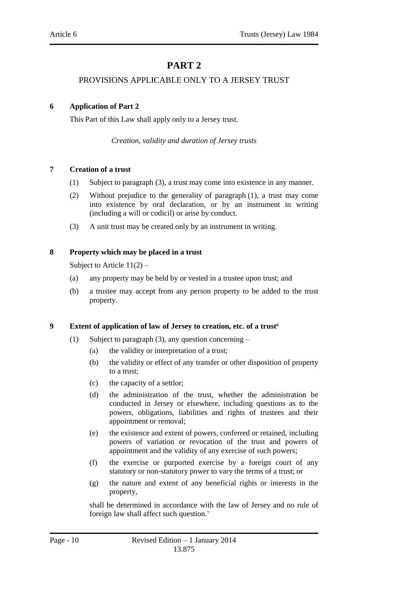# **PART 2**

### <span id="page-9-0"></span>PROVISIONS APPLICABLE ONLY TO A JERSEY TRUST

### <span id="page-9-3"></span><span id="page-9-2"></span><span id="page-9-1"></span>**6 Application of Part 2**

This Part of this Law shall apply only to a Jersey trust.

*Creation, validity and duration of Jersey trusts*

### <span id="page-9-4"></span>**7 Creation of a trust**

- (1) Subject to paragraph (3), a trust may come into existence in any manner.
- (2) Without prejudice to the generality of paragraph (1), a trust may come into existence by oral declaration, or by an instrument in writing (including a will or codicil) or arise by conduct.
- (3) A unit trust may be created only by an instrument in writing.

# <span id="page-9-5"></span>**8 Property which may be placed in a trust**

Subject to Article  $11(2)$  –

- (a) any property may be held by or vested in a trustee upon trust; and
- (b) a trustee may accept from any person property to be added to the trust property.

#### <span id="page-9-6"></span>**9 Extent of application of law of Jersey to creation, etc. of a trust<sup>6</sup>**

- (1) Subject to paragraph (3), any question concerning
	- (a) the validity or interpretation of a trust;
	- (b) the validity or effect of any transfer or other disposition of property to a trust;
	- (c) the capacity of a settlor;
	- (d) the administration of the trust, whether the administration be conducted in Jersey or elsewhere, including questions as to the powers, obligations, liabilities and rights of trustees and their appointment or removal;
	- (e) the existence and extent of powers, conferred or retained, including powers of variation or revocation of the trust and powers of appointment and the validity of any exercise of such powers;
	- (f) the exercise or purported exercise by a foreign court of any statutory or non-statutory power to vary the terms of a trust; or
	- (g) the nature and extent of any beneficial rights or interests in the property,

shall be determined in accordance with the law of Jersey and no rule of foreign law shall affect such question.7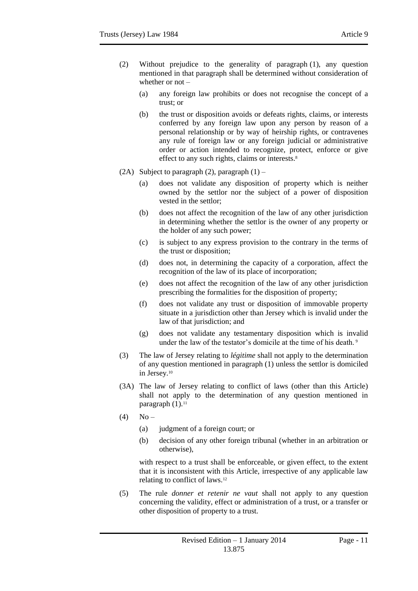- (2) Without prejudice to the generality of paragraph (1), any question mentioned in that paragraph shall be determined without consideration of whether or not –
	- (a) any foreign law prohibits or does not recognise the concept of a trust; or
	- (b) the trust or disposition avoids or defeats rights, claims, or interests conferred by any foreign law upon any person by reason of a personal relationship or by way of heirship rights, or contravenes any rule of foreign law or any foreign judicial or administrative order or action intended to recognize, protect, enforce or give effect to any such rights, claims or interests.<sup>8</sup>
- (2A) Subject to paragraph (2), paragraph  $(1)$ 
	- (a) does not validate any disposition of property which is neither owned by the settlor nor the subject of a power of disposition vested in the settlor;
	- (b) does not affect the recognition of the law of any other jurisdiction in determining whether the settlor is the owner of any property or the holder of any such power;
	- (c) is subject to any express provision to the contrary in the terms of the trust or disposition;
	- (d) does not, in determining the capacity of a corporation, affect the recognition of the law of its place of incorporation;
	- (e) does not affect the recognition of the law of any other jurisdiction prescribing the formalities for the disposition of property;
	- (f) does not validate any trust or disposition of immovable property situate in a jurisdiction other than Jersey which is invalid under the law of that jurisdiction; and
	- (g) does not validate any testamentary disposition which is invalid under the law of the testator's domicile at the time of his death.  $9$
- (3) The law of Jersey relating to *légitime* shall not apply to the determination of any question mentioned in paragraph (1) unless the settlor is domiciled in Jersey.<sup>10</sup>
- (3A) The law of Jersey relating to conflict of laws (other than this Article) shall not apply to the determination of any question mentioned in paragraph  $(1).<sup>11</sup>$
- $(4)$  No
	- (a) judgment of a foreign court; or
	- (b) decision of any other foreign tribunal (whether in an arbitration or otherwise),

with respect to a trust shall be enforceable, or given effect, to the extent that it is inconsistent with this Article, irrespective of any applicable law relating to conflict of laws.<sup>12</sup>

(5) The rule *donner et retenir ne vaut* shall not apply to any question concerning the validity, effect or administration of a trust, or a transfer or other disposition of property to a trust.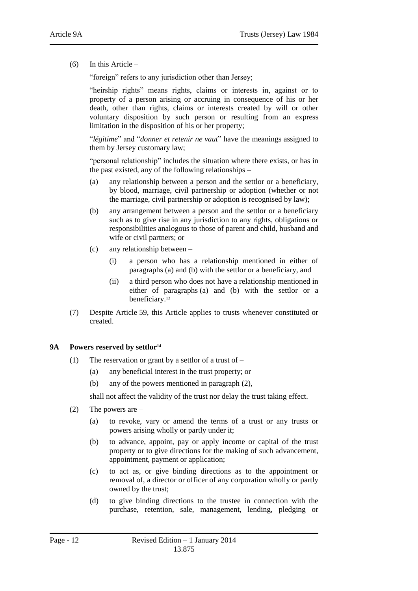(6) In this Article –

"foreign" refers to any jurisdiction other than Jersey;

"heirship rights" means rights, claims or interests in, against or to property of a person arising or accruing in consequence of his or her death, other than rights, claims or interests created by will or other voluntary disposition by such person or resulting from an express limitation in the disposition of his or her property;

"*légitime*" and "*donner et retenir ne vaut*" have the meanings assigned to them by Jersey customary law;

"personal relationship" includes the situation where there exists, or has in the past existed, any of the following relationships –

- (a) any relationship between a person and the settlor or a beneficiary, by blood, marriage, civil partnership or adoption (whether or not the marriage, civil partnership or adoption is recognised by law);
- (b) any arrangement between a person and the settlor or a beneficiary such as to give rise in any jurisdiction to any rights, obligations or responsibilities analogous to those of parent and child, husband and wife or civil partners; or
- (c) any relationship between
	- (i) a person who has a relationship mentioned in either of paragraphs (a) and (b) with the settlor or a beneficiary, and
	- (ii) a third person who does not have a relationship mentioned in either of paragraphs (a) and (b) with the settlor or a beneficiary. 13
- (7) Despite Article 59, this Article applies to trusts whenever constituted or created.

#### <span id="page-11-0"></span>**9A Powers reserved by settlor<sup>14</sup>**

- (1) The reservation or grant by a settlor of a trust of  $-$ 
	- (a) any beneficial interest in the trust property; or
	- (b) any of the powers mentioned in paragraph (2),

shall not affect the validity of the trust nor delay the trust taking effect.

- (2) The powers are
	- (a) to revoke, vary or amend the terms of a trust or any trusts or powers arising wholly or partly under it;
	- (b) to advance, appoint, pay or apply income or capital of the trust property or to give directions for the making of such advancement, appointment, payment or application;
	- (c) to act as, or give binding directions as to the appointment or removal of, a director or officer of any corporation wholly or partly owned by the trust;
	- (d) to give binding directions to the trustee in connection with the purchase, retention, sale, management, lending, pledging or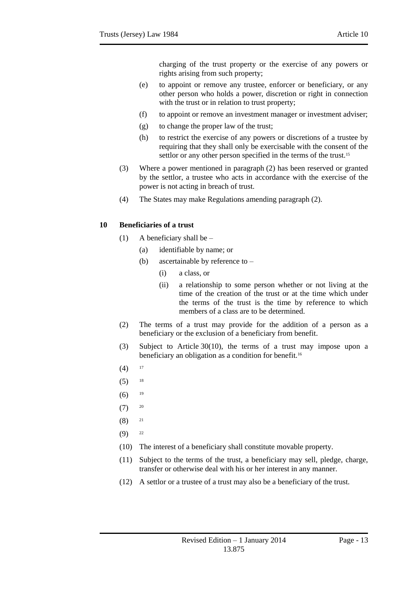charging of the trust property or the exercise of any powers or rights arising from such property;

- (e) to appoint or remove any trustee, enforcer or beneficiary, or any other person who holds a power, discretion or right in connection with the trust or in relation to trust property;
- (f) to appoint or remove an investment manager or investment adviser;
- (g) to change the proper law of the trust;
- (h) to restrict the exercise of any powers or discretions of a trustee by requiring that they shall only be exercisable with the consent of the settlor or any other person specified in the terms of the trust.<sup>15</sup>
- (3) Where a power mentioned in paragraph (2) has been reserved or granted by the settlor, a trustee who acts in accordance with the exercise of the power is not acting in breach of trust.
- (4) The States may make Regulations amending paragraph (2).

# <span id="page-12-0"></span>**10 Beneficiaries of a trust**

- (1) A beneficiary shall be  $-$ 
	- (a) identifiable by name; or
	- (b) ascertainable by reference to
		- (i) a class, or
		- (ii) a relationship to some person whether or not living at the time of the creation of the trust or at the time which under the terms of the trust is the time by reference to which members of a class are to be determined.
- (2) The terms of a trust may provide for the addition of a person as a beneficiary or the exclusion of a beneficiary from benefit.
- (3) Subject to Article 30(10), the terms of a trust may impose upon a beneficiary an obligation as a condition for benefit.<sup>16</sup>
- $(4)$  17
- $(5)$  18
- $(6)$  <sup>19</sup>
- $(7)$  20
- $(8)$  21
- $(9)$  22
- (10) The interest of a beneficiary shall constitute movable property.
- (11) Subject to the terms of the trust, a beneficiary may sell, pledge, charge, transfer or otherwise deal with his or her interest in any manner.
- (12) A settlor or a trustee of a trust may also be a beneficiary of the trust.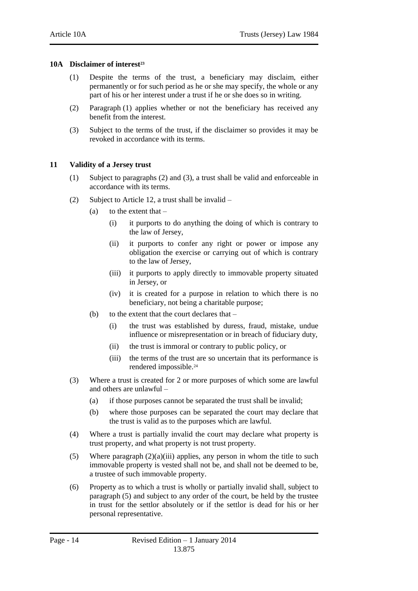#### <span id="page-13-0"></span>**10A Disclaimer of interest<sup>23</sup>**

- (1) Despite the terms of the trust, a beneficiary may disclaim, either permanently or for such period as he or she may specify, the whole or any part of his or her interest under a trust if he or she does so in writing.
- (2) Paragraph (1) applies whether or not the beneficiary has received any benefit from the interest.
- (3) Subject to the terms of the trust, if the disclaimer so provides it may be revoked in accordance with its terms.

### <span id="page-13-1"></span>**11 Validity of a Jersey trust**

- (1) Subject to paragraphs (2) and (3), a trust shall be valid and enforceable in accordance with its terms.
- (2) Subject to Article 12, a trust shall be invalid
	- (a) to the extent that  $-$ 
		- (i) it purports to do anything the doing of which is contrary to the law of Jersey,
		- (ii) it purports to confer any right or power or impose any obligation the exercise or carrying out of which is contrary to the law of Jersey,
		- (iii) it purports to apply directly to immovable property situated in Jersey, or
		- (iv) it is created for a purpose in relation to which there is no beneficiary, not being a charitable purpose;
	- (b) to the extent that the court declares that
		- (i) the trust was established by duress, fraud, mistake, undue influence or misrepresentation or in breach of fiduciary duty,
		- (ii) the trust is immoral or contrary to public policy, or
		- (iii) the terms of the trust are so uncertain that its performance is rendered impossible.<sup>24</sup>
- (3) Where a trust is created for 2 or more purposes of which some are lawful and others are unlawful –
	- (a) if those purposes cannot be separated the trust shall be invalid;
	- (b) where those purposes can be separated the court may declare that the trust is valid as to the purposes which are lawful.
- (4) Where a trust is partially invalid the court may declare what property is trust property, and what property is not trust property.
- (5) Where paragraph  $(2)(a)(iii)$  applies, any person in whom the title to such immovable property is vested shall not be, and shall not be deemed to be, a trustee of such immovable property.
- (6) Property as to which a trust is wholly or partially invalid shall, subject to paragraph (5) and subject to any order of the court, be held by the trustee in trust for the settlor absolutely or if the settlor is dead for his or her personal representative.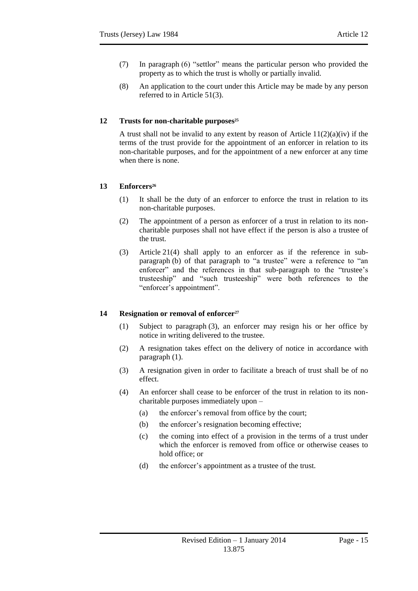- (7) In paragraph (6) "settlor" means the particular person who provided the property as to which the trust is wholly or partially invalid.
- (8) An application to the court under this Article may be made by any person referred to in Article 51(3).

# <span id="page-14-0"></span>**12 Trusts for non-charitable purposes<sup>25</sup>**

A trust shall not be invalid to any extent by reason of Article  $11(2)(a)(iv)$  if the terms of the trust provide for the appointment of an enforcer in relation to its non-charitable purposes, and for the appointment of a new enforcer at any time when there is none.

# <span id="page-14-1"></span>**13 Enforcers<sup>26</sup>**

- (1) It shall be the duty of an enforcer to enforce the trust in relation to its non-charitable purposes.
- (2) The appointment of a person as enforcer of a trust in relation to its noncharitable purposes shall not have effect if the person is also a trustee of the trust.
- (3) Article 21(4) shall apply to an enforcer as if the reference in subparagraph (b) of that paragraph to "a trustee" were a reference to "an enforcer" and the references in that sub-paragraph to the "trustee's trusteeship" and "such trusteeship" were both references to the "enforcer's appointment".

# <span id="page-14-2"></span>**14 Resignation or removal of enforcer<sup>27</sup>**

- (1) Subject to paragraph (3), an enforcer may resign his or her office by notice in writing delivered to the trustee.
- (2) A resignation takes effect on the delivery of notice in accordance with paragraph (1).
- (3) A resignation given in order to facilitate a breach of trust shall be of no effect.
- (4) An enforcer shall cease to be enforcer of the trust in relation to its noncharitable purposes immediately upon –
	- (a) the enforcer's removal from office by the court;
	- (b) the enforcer's resignation becoming effective;
	- (c) the coming into effect of a provision in the terms of a trust under which the enforcer is removed from office or otherwise ceases to hold office; or
	- (d) the enforcer's appointment as a trustee of the trust.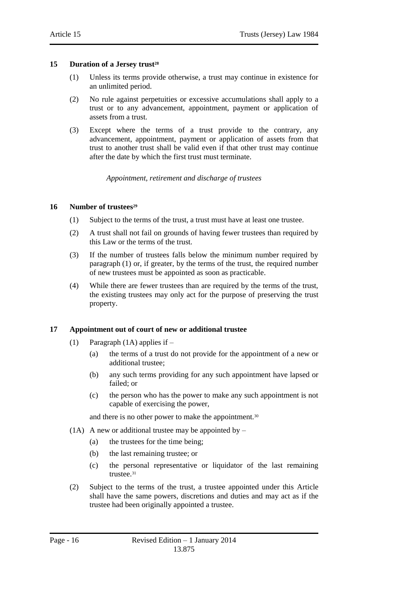#### <span id="page-15-0"></span>**15 Duration of a Jersey trust<sup>28</sup>**

- (1) Unless its terms provide otherwise, a trust may continue in existence for an unlimited period.
- (2) No rule against perpetuities or excessive accumulations shall apply to a trust or to any advancement, appointment, payment or application of assets from a trust.
- <span id="page-15-1"></span>(3) Except where the terms of a trust provide to the contrary, any advancement, appointment, payment or application of assets from that trust to another trust shall be valid even if that other trust may continue after the date by which the first trust must terminate.

*Appointment, retirement and discharge of trustees*

#### <span id="page-15-2"></span>**16 Number of trustees<sup>29</sup>**

- (1) Subject to the terms of the trust, a trust must have at least one trustee.
- (2) A trust shall not fail on grounds of having fewer trustees than required by this Law or the terms of the trust.
- (3) If the number of trustees falls below the minimum number required by paragraph (1) or, if greater, by the terms of the trust, the required number of new trustees must be appointed as soon as practicable.
- (4) While there are fewer trustees than are required by the terms of the trust, the existing trustees may only act for the purpose of preserving the trust property.

#### <span id="page-15-3"></span>**17 Appointment out of court of new or additional trustee**

- (1) Paragraph (1A) applies if
	- (a) the terms of a trust do not provide for the appointment of a new or additional trustee;
	- (b) any such terms providing for any such appointment have lapsed or failed; or
	- (c) the person who has the power to make any such appointment is not capable of exercising the power,

and there is no other power to make the appointment.<sup>30</sup>

- (1A) A new or additional trustee may be appointed by  $-$ 
	- (a) the trustees for the time being;
	- (b) the last remaining trustee; or
	- (c) the personal representative or liquidator of the last remaining trustee.<sup>31</sup>
- (2) Subject to the terms of the trust, a trustee appointed under this Article shall have the same powers, discretions and duties and may act as if the trustee had been originally appointed a trustee.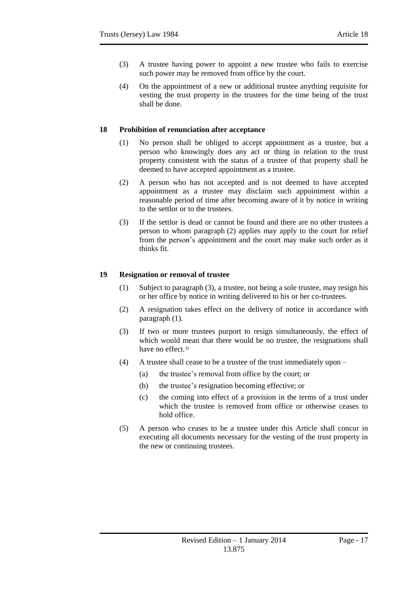- (3) A trustee having power to appoint a new trustee who fails to exercise such power may be removed from office by the court.
- (4) On the appointment of a new or additional trustee anything requisite for vesting the trust property in the trustees for the time being of the trust shall be done.

## <span id="page-16-0"></span>**18 Prohibition of renunciation after acceptance**

- (1) No person shall be obliged to accept appointment as a trustee, but a person who knowingly does any act or thing in relation to the trust property consistent with the status of a trustee of that property shall be deemed to have accepted appointment as a trustee.
- (2) A person who has not accepted and is not deemed to have accepted appointment as a trustee may disclaim such appointment within a reasonable period of time after becoming aware of it by notice in writing to the settlor or to the trustees.
- (3) If the settlor is dead or cannot be found and there are no other trustees a person to whom paragraph (2) applies may apply to the court for relief from the person's appointment and the court may make such order as it thinks fit.

### <span id="page-16-1"></span>**19 Resignation or removal of trustee**

- (1) Subject to paragraph (3), a trustee, not being a sole trustee, may resign his or her office by notice in writing delivered to his or her co-trustees.
- (2) A resignation takes effect on the delivery of notice in accordance with paragraph (1).
- (3) If two or more trustees purport to resign simultaneously, the effect of which would mean that there would be no trustee, the resignations shall have no effect.<sup>32</sup>
- (4) A trustee shall cease to be a trustee of the trust immediately upon
	- (a) the trustee's removal from office by the court; or
	- (b) the trustee's resignation becoming effective; or
	- (c) the coming into effect of a provision in the terms of a trust under which the trustee is removed from office or otherwise ceases to hold office.
- (5) A person who ceases to be a trustee under this Article shall concur in executing all documents necessary for the vesting of the trust property in the new or continuing trustees.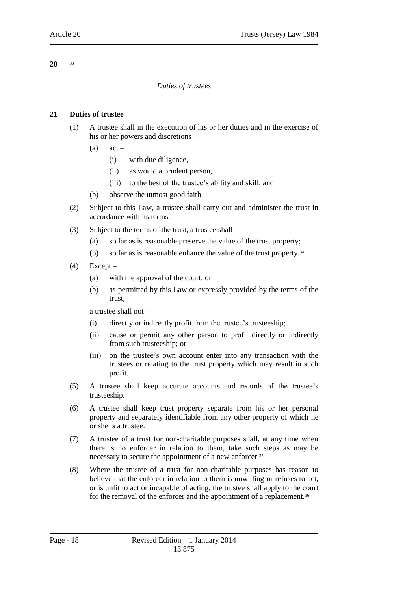### <span id="page-17-1"></span><span id="page-17-0"></span>**20 <sup>33</sup>**

# *Duties of trustees*

# <span id="page-17-2"></span>**21 Duties of trustee**

- (1) A trustee shall in the execution of his or her duties and in the exercise of his or her powers and discretions –
	- $(a)$  act
		- (i) with due diligence,
		- (ii) as would a prudent person,
		- (iii) to the best of the trustee's ability and skill; and
	- (b) observe the utmost good faith.
- (2) Subject to this Law, a trustee shall carry out and administer the trust in accordance with its terms.
- (3) Subject to the terms of the trust, a trustee shall
	- (a) so far as is reasonable preserve the value of the trust property;
	- (b) so far as is reasonable enhance the value of the trust property.<sup>34</sup>
- $(4)$  Except
	- (a) with the approval of the court; or
	- (b) as permitted by this Law or expressly provided by the terms of the trust,

a trustee shall not –

- (i) directly or indirectly profit from the trustee's trusteeship;
- (ii) cause or permit any other person to profit directly or indirectly from such trusteeship; or
- (iii) on the trustee's own account enter into any transaction with the trustees or relating to the trust property which may result in such profit.
- (5) A trustee shall keep accurate accounts and records of the trustee's trusteeship.
- (6) A trustee shall keep trust property separate from his or her personal property and separately identifiable from any other property of which he or she is a trustee.
- (7) A trustee of a trust for non-charitable purposes shall, at any time when there is no enforcer in relation to them, take such steps as may be necessary to secure the appointment of a new enforcer.<sup>35</sup>
- (8) Where the trustee of a trust for non-charitable purposes has reason to believe that the enforcer in relation to them is unwilling or refuses to act, or is unfit to act or incapable of acting, the trustee shall apply to the court for the removal of the enforcer and the appointment of a replacement.<sup>36</sup>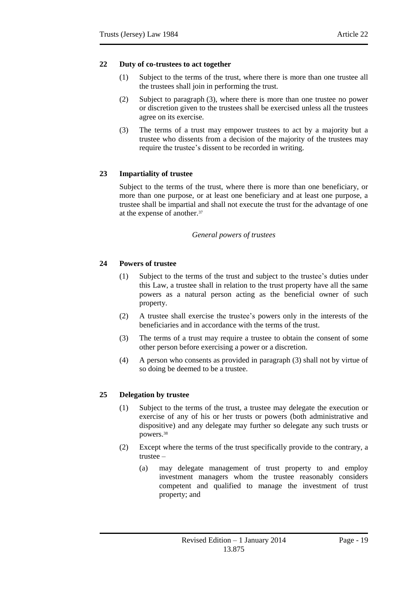# <span id="page-18-0"></span>**22 Duty of co-trustees to act together**

- (1) Subject to the terms of the trust, where there is more than one trustee all the trustees shall join in performing the trust.
- (2) Subject to paragraph (3), where there is more than one trustee no power or discretion given to the trustees shall be exercised unless all the trustees agree on its exercise.
- (3) The terms of a trust may empower trustees to act by a majority but a trustee who dissents from a decision of the majority of the trustees may require the trustee's dissent to be recorded in writing.

# <span id="page-18-1"></span>**23 Impartiality of trustee**

Subject to the terms of the trust, where there is more than one beneficiary, or more than one purpose, or at least one beneficiary and at least one purpose, a trustee shall be impartial and shall not execute the trust for the advantage of one at the expense of another.<sup>37</sup>

# *General powers of trustees*

# <span id="page-18-3"></span><span id="page-18-2"></span>**24 Powers of trustee**

- (1) Subject to the terms of the trust and subject to the trustee's duties under this Law, a trustee shall in relation to the trust property have all the same powers as a natural person acting as the beneficial owner of such property.
- (2) A trustee shall exercise the trustee's powers only in the interests of the beneficiaries and in accordance with the terms of the trust.
- (3) The terms of a trust may require a trustee to obtain the consent of some other person before exercising a power or a discretion.
- (4) A person who consents as provided in paragraph (3) shall not by virtue of so doing be deemed to be a trustee.

# <span id="page-18-4"></span>**25 Delegation by trustee**

- (1) Subject to the terms of the trust, a trustee may delegate the execution or exercise of any of his or her trusts or powers (both administrative and dispositive) and any delegate may further so delegate any such trusts or powers.<sup>38</sup>
- (2) Except where the terms of the trust specifically provide to the contrary, a trustee –
	- (a) may delegate management of trust property to and employ investment managers whom the trustee reasonably considers competent and qualified to manage the investment of trust property; and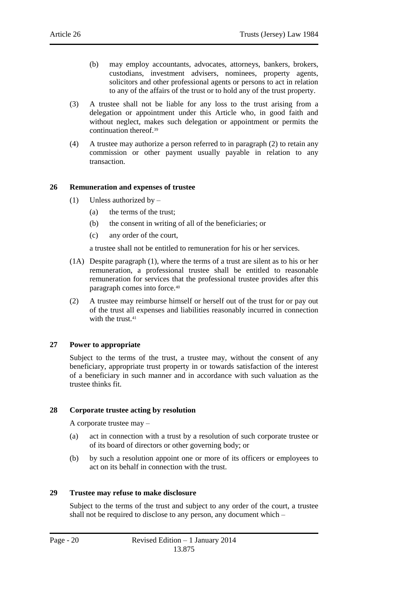- (b) may employ accountants, advocates, attorneys, bankers, brokers, custodians, investment advisers, nominees, property agents, solicitors and other professional agents or persons to act in relation to any of the affairs of the trust or to hold any of the trust property.
- (3) A trustee shall not be liable for any loss to the trust arising from a delegation or appointment under this Article who, in good faith and without neglect, makes such delegation or appointment or permits the continuation thereof. 39
- (4) A trustee may authorize a person referred to in paragraph (2) to retain any commission or other payment usually payable in relation to any transaction.

### <span id="page-19-0"></span>**26 Remuneration and expenses of trustee**

- (1) Unless authorized by
	- (a) the terms of the trust;
	- (b) the consent in writing of all of the beneficiaries; or
	- (c) any order of the court,

a trustee shall not be entitled to remuneration for his or her services.

- (1A) Despite paragraph (1), where the terms of a trust are silent as to his or her remuneration, a professional trustee shall be entitled to reasonable remuneration for services that the professional trustee provides after this paragraph comes into force.<sup>40</sup>
- (2) A trustee may reimburse himself or herself out of the trust for or pay out of the trust all expenses and liabilities reasonably incurred in connection with the trust.<sup>41</sup>

#### <span id="page-19-1"></span>**27 Power to appropriate**

Subject to the terms of the trust, a trustee may, without the consent of any beneficiary, appropriate trust property in or towards satisfaction of the interest of a beneficiary in such manner and in accordance with such valuation as the trustee thinks fit.

# <span id="page-19-2"></span>**28 Corporate trustee acting by resolution**

A corporate trustee may –

- (a) act in connection with a trust by a resolution of such corporate trustee or of its board of directors or other governing body; or
- (b) by such a resolution appoint one or more of its officers or employees to act on its behalf in connection with the trust.

#### <span id="page-19-3"></span>**29 Trustee may refuse to make disclosure**

Subject to the terms of the trust and subject to any order of the court, a trustee shall not be required to disclose to any person, any document which –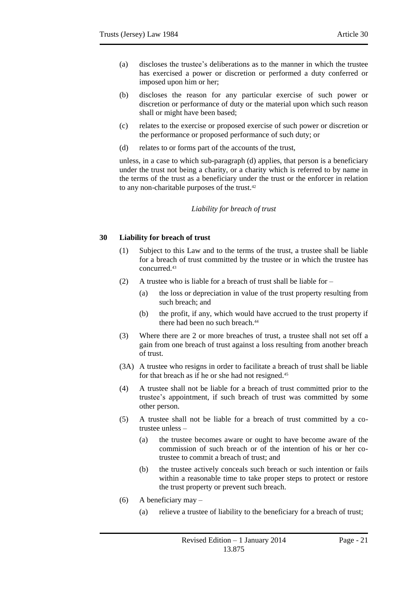- (a) discloses the trustee's deliberations as to the manner in which the trustee has exercised a power or discretion or performed a duty conferred or imposed upon him or her;
- (b) discloses the reason for any particular exercise of such power or discretion or performance of duty or the material upon which such reason shall or might have been based;
- (c) relates to the exercise or proposed exercise of such power or discretion or the performance or proposed performance of such duty; or
- (d) relates to or forms part of the accounts of the trust,

<span id="page-20-0"></span>unless, in a case to which sub-paragraph (d) applies, that person is a beneficiary under the trust not being a charity, or a charity which is referred to by name in the terms of the trust as a beneficiary under the trust or the enforcer in relation to any non-charitable purposes of the trust.<sup>42</sup>

#### *Liability for breach of trust*

# <span id="page-20-1"></span>**30 Liability for breach of trust**

- (1) Subject to this Law and to the terms of the trust, a trustee shall be liable for a breach of trust committed by the trustee or in which the trustee has concurred.<sup>43</sup>
- (2) A trustee who is liable for a breach of trust shall be liable for
	- (a) the loss or depreciation in value of the trust property resulting from such breach; and
	- (b) the profit, if any, which would have accrued to the trust property if there had been no such breach.<sup>44</sup>
- (3) Where there are 2 or more breaches of trust, a trustee shall not set off a gain from one breach of trust against a loss resulting from another breach of trust.
- (3A) A trustee who resigns in order to facilitate a breach of trust shall be liable for that breach as if he or she had not resigned.<sup>45</sup>
- (4) A trustee shall not be liable for a breach of trust committed prior to the trustee's appointment, if such breach of trust was committed by some other person.
- (5) A trustee shall not be liable for a breach of trust committed by a cotrustee unless –
	- (a) the trustee becomes aware or ought to have become aware of the commission of such breach or of the intention of his or her cotrustee to commit a breach of trust; and
	- (b) the trustee actively conceals such breach or such intention or fails within a reasonable time to take proper steps to protect or restore the trust property or prevent such breach.
- (6) A beneficiary may
	- (a) relieve a trustee of liability to the beneficiary for a breach of trust;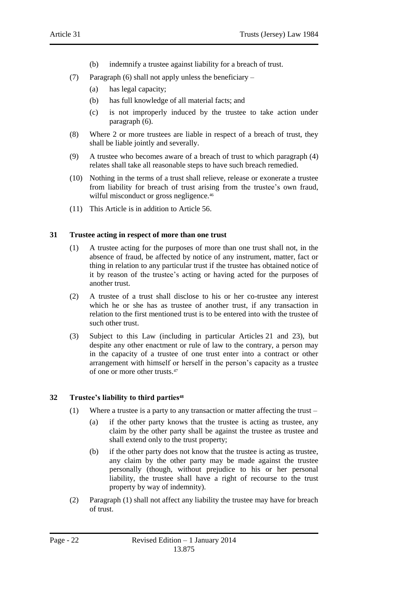- (b) indemnify a trustee against liability for a breach of trust.
- (7) Paragraph (6) shall not apply unless the beneficiary
	- (a) has legal capacity;
	- (b) has full knowledge of all material facts; and
	- (c) is not improperly induced by the trustee to take action under paragraph (6).
- (8) Where 2 or more trustees are liable in respect of a breach of trust, they shall be liable jointly and severally.
- (9) A trustee who becomes aware of a breach of trust to which paragraph (4) relates shall take all reasonable steps to have such breach remedied.
- (10) Nothing in the terms of a trust shall relieve, release or exonerate a trustee from liability for breach of trust arising from the trustee's own fraud, wilful misconduct or gross negligence.<sup>46</sup>
- (11) This Article is in addition to Article 56.

### <span id="page-21-0"></span>**31 Trustee acting in respect of more than one trust**

- (1) A trustee acting for the purposes of more than one trust shall not, in the absence of fraud, be affected by notice of any instrument, matter, fact or thing in relation to any particular trust if the trustee has obtained notice of it by reason of the trustee's acting or having acted for the purposes of another trust.
- (2) A trustee of a trust shall disclose to his or her co-trustee any interest which he or she has as trustee of another trust, if any transaction in relation to the first mentioned trust is to be entered into with the trustee of such other trust.
- (3) Subject to this Law (including in particular Articles 21 and 23), but despite any other enactment or rule of law to the contrary, a person may in the capacity of a trustee of one trust enter into a contract or other arrangement with himself or herself in the person's capacity as a trustee of one or more other trusts.<sup>47</sup>

# <span id="page-21-1"></span>**32 Trustee's liability to third parties<sup>48</sup>**

- (1) Where a trustee is a party to any transaction or matter affecting the trust
	- (a) if the other party knows that the trustee is acting as trustee, any claim by the other party shall be against the trustee as trustee and shall extend only to the trust property;
	- (b) if the other party does not know that the trustee is acting as trustee, any claim by the other party may be made against the trustee personally (though, without prejudice to his or her personal liability, the trustee shall have a right of recourse to the trust property by way of indemnity).
- (2) Paragraph (1) shall not affect any liability the trustee may have for breach of trust.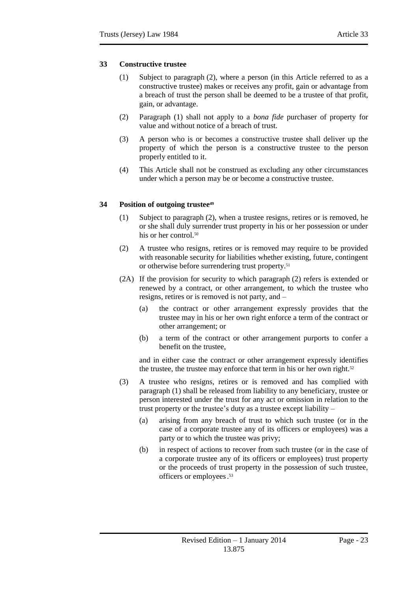# <span id="page-22-0"></span>**33 Constructive trustee**

- (1) Subject to paragraph (2), where a person (in this Article referred to as a constructive trustee) makes or receives any profit, gain or advantage from a breach of trust the person shall be deemed to be a trustee of that profit, gain, or advantage.
- (2) Paragraph (1) shall not apply to a *bona fide* purchaser of property for value and without notice of a breach of trust.
- (3) A person who is or becomes a constructive trustee shall deliver up the property of which the person is a constructive trustee to the person properly entitled to it.
- (4) This Article shall not be construed as excluding any other circumstances under which a person may be or become a constructive trustee.

# <span id="page-22-1"></span>**34 Position of outgoing trustee<sup>49</sup>**

- (1) Subject to paragraph (2), when a trustee resigns, retires or is removed, he or she shall duly surrender trust property in his or her possession or under his or her control.<sup>50</sup>
- (2) A trustee who resigns, retires or is removed may require to be provided with reasonable security for liabilities whether existing, future, contingent or otherwise before surrendering trust property.<sup>51</sup>
- (2A) If the provision for security to which paragraph (2) refers is extended or renewed by a contract, or other arrangement, to which the trustee who resigns, retires or is removed is not party, and –
	- (a) the contract or other arrangement expressly provides that the trustee may in his or her own right enforce a term of the contract or other arrangement; or
	- (b) a term of the contract or other arrangement purports to confer a benefit on the trustee,

and in either case the contract or other arrangement expressly identifies the trustee, the trustee may enforce that term in his or her own right.<sup>52</sup>

- (3) A trustee who resigns, retires or is removed and has complied with paragraph (1) shall be released from liability to any beneficiary, trustee or person interested under the trust for any act or omission in relation to the trust property or the trustee's duty as a trustee except liability –
	- (a) arising from any breach of trust to which such trustee (or in the case of a corporate trustee any of its officers or employees) was a party or to which the trustee was privy;
	- (b) in respect of actions to recover from such trustee (or in the case of a corporate trustee any of its officers or employees) trust property or the proceeds of trust property in the possession of such trustee, officers or employees. 53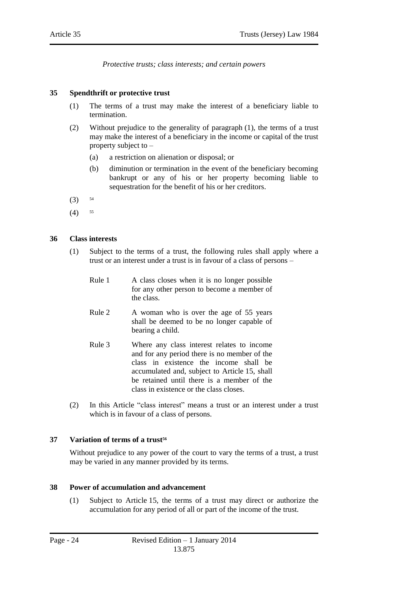*Protective trusts; class interests; and certain powers*

# <span id="page-23-1"></span><span id="page-23-0"></span>**35 Spendthrift or protective trust**

- (1) The terms of a trust may make the interest of a beneficiary liable to termination.
- (2) Without prejudice to the generality of paragraph (1), the terms of a trust may make the interest of a beneficiary in the income or capital of the trust property subject to –
	- (a) a restriction on alienation or disposal; or
	- (b) diminution or termination in the event of the beneficiary becoming bankrupt or any of his or her property becoming liable to sequestration for the benefit of his or her creditors.
- $(3)$  54
- $(4)$  55

### <span id="page-23-2"></span>**36 Class interests**

- (1) Subject to the terms of a trust, the following rules shall apply where a trust or an interest under a trust is in favour of a class of persons –
	- Rule 1 A class closes when it is no longer possible for any other person to become a member of the class.
	- Rule 2 A woman who is over the age of 55 years shall be deemed to be no longer capable of bearing a child.
	- Rule 3 Where any class interest relates to income and for any period there is no member of the class in existence the income shall be accumulated and, subject to Article 15, shall be retained until there is a member of the class in existence or the class closes.
- (2) In this Article "class interest" means a trust or an interest under a trust which is in favour of a class of persons.

#### <span id="page-23-3"></span>**37 Variation of terms of a trust<sup>56</sup>**

Without prejudice to any power of the court to vary the terms of a trust, a trust may be varied in any manner provided by its terms.

#### <span id="page-23-4"></span>**38 Power of accumulation and advancement**

(1) Subject to Article 15, the terms of a trust may direct or authorize the accumulation for any period of all or part of the income of the trust.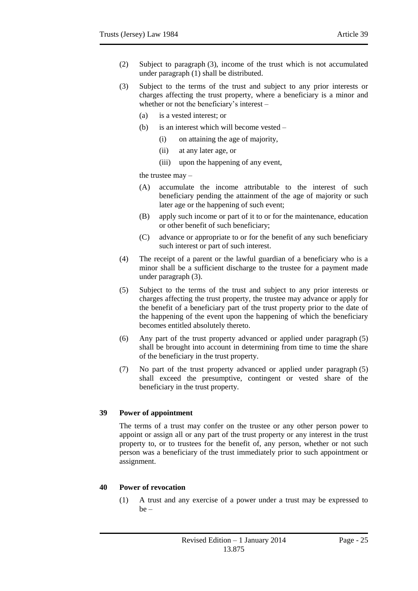- (2) Subject to paragraph (3), income of the trust which is not accumulated under paragraph (1) shall be distributed.
- (3) Subject to the terms of the trust and subject to any prior interests or charges affecting the trust property, where a beneficiary is a minor and whether or not the beneficiary's interest –
	- (a) is a vested interest; or
	- (b) is an interest which will become vested
		- (i) on attaining the age of majority,
		- (ii) at any later age, or
		- (iii) upon the happening of any event,

the trustee may –

- (A) accumulate the income attributable to the interest of such beneficiary pending the attainment of the age of majority or such later age or the happening of such event;
- (B) apply such income or part of it to or for the maintenance, education or other benefit of such beneficiary;
- (C) advance or appropriate to or for the benefit of any such beneficiary such interest or part of such interest.
- (4) The receipt of a parent or the lawful guardian of a beneficiary who is a minor shall be a sufficient discharge to the trustee for a payment made under paragraph (3).
- (5) Subject to the terms of the trust and subject to any prior interests or charges affecting the trust property, the trustee may advance or apply for the benefit of a beneficiary part of the trust property prior to the date of the happening of the event upon the happening of which the beneficiary becomes entitled absolutely thereto.
- (6) Any part of the trust property advanced or applied under paragraph (5) shall be brought into account in determining from time to time the share of the beneficiary in the trust property.
- (7) No part of the trust property advanced or applied under paragraph (5) shall exceed the presumptive, contingent or vested share of the beneficiary in the trust property.

# <span id="page-24-0"></span>**39 Power of appointment**

The terms of a trust may confer on the trustee or any other person power to appoint or assign all or any part of the trust property or any interest in the trust property to, or to trustees for the benefit of, any person, whether or not such person was a beneficiary of the trust immediately prior to such appointment or assignment.

# <span id="page-24-1"></span>**40 Power of revocation**

(1) A trust and any exercise of a power under a trust may be expressed to be –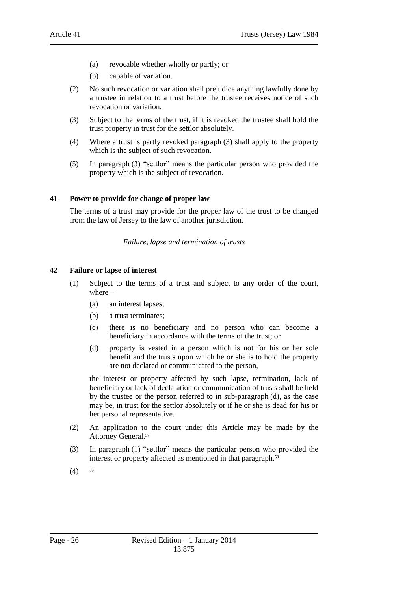- (a) revocable whether wholly or partly; or
- (b) capable of variation.
- (2) No such revocation or variation shall prejudice anything lawfully done by a trustee in relation to a trust before the trustee receives notice of such revocation or variation.
- (3) Subject to the terms of the trust, if it is revoked the trustee shall hold the trust property in trust for the settlor absolutely.
- (4) Where a trust is partly revoked paragraph (3) shall apply to the property which is the subject of such revocation.
- (5) In paragraph (3) "settlor" means the particular person who provided the property which is the subject of revocation.

### <span id="page-25-0"></span>**41 Power to provide for change of proper law**

<span id="page-25-1"></span>The terms of a trust may provide for the proper law of the trust to be changed from the law of Jersey to the law of another jurisdiction.

*Failure, lapse and termination of trusts*

#### <span id="page-25-2"></span>**42 Failure or lapse of interest**

- (1) Subject to the terms of a trust and subject to any order of the court, where –
	- (a) an interest lapses;
	- (b) a trust terminates;
	- (c) there is no beneficiary and no person who can become a beneficiary in accordance with the terms of the trust; or
	- (d) property is vested in a person which is not for his or her sole benefit and the trusts upon which he or she is to hold the property are not declared or communicated to the person,

the interest or property affected by such lapse, termination, lack of beneficiary or lack of declaration or communication of trusts shall be held by the trustee or the person referred to in sub-paragraph (d), as the case may be, in trust for the settlor absolutely or if he or she is dead for his or her personal representative.

- (2) An application to the court under this Article may be made by the Attorney General.<sup>57</sup>
- (3) In paragraph (1) "settlor" means the particular person who provided the interest or property affected as mentioned in that paragraph.<sup>58</sup>
- $(4)$  <sup>59</sup>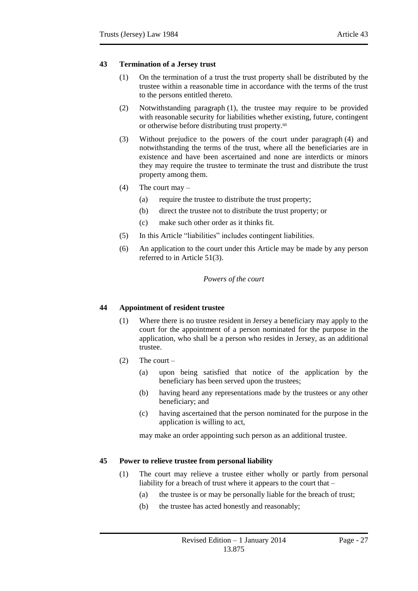- <span id="page-26-0"></span>(1) On the termination of a trust the trust property shall be distributed by the trustee within a reasonable time in accordance with the terms of the trust to the persons entitled thereto.
- (2) Notwithstanding paragraph (1), the trustee may require to be provided with reasonable security for liabilities whether existing, future, contingent or otherwise before distributing trust property.<sup>60</sup>
- (3) Without prejudice to the powers of the court under paragraph (4) and notwithstanding the terms of the trust, where all the beneficiaries are in existence and have been ascertained and none are interdicts or minors they may require the trustee to terminate the trust and distribute the trust property among them.
- (4) The court may  $-$ 
	- (a) require the trustee to distribute the trust property;
	- (b) direct the trustee not to distribute the trust property; or
	- (c) make such other order as it thinks fit.
- (5) In this Article "liabilities" includes contingent liabilities.
- <span id="page-26-1"></span>(6) An application to the court under this Article may be made by any person referred to in Article 51(3).

# *Powers of the court*

# <span id="page-26-2"></span>**44 Appointment of resident trustee**

- (1) Where there is no trustee resident in Jersey a beneficiary may apply to the court for the appointment of a person nominated for the purpose in the application, who shall be a person who resides in Jersey, as an additional trustee.
- $(2)$  The court
	- (a) upon being satisfied that notice of the application by the beneficiary has been served upon the trustees;
	- (b) having heard any representations made by the trustees or any other beneficiary; and
	- (c) having ascertained that the person nominated for the purpose in the application is willing to act,

may make an order appointing such person as an additional trustee.

# <span id="page-26-3"></span>**45 Power to relieve trustee from personal liability**

- (1) The court may relieve a trustee either wholly or partly from personal liability for a breach of trust where it appears to the court that –
	- (a) the trustee is or may be personally liable for the breach of trust;
	- (b) the trustee has acted honestly and reasonably;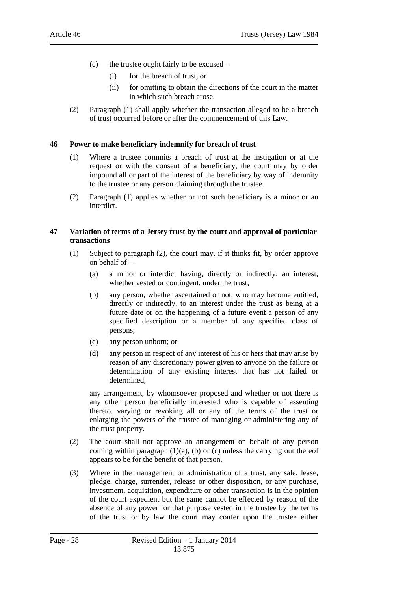- (c) the trustee ought fairly to be excused
	- (i) for the breach of trust, or
	- (ii) for omitting to obtain the directions of the court in the matter in which such breach arose.
- (2) Paragraph (1) shall apply whether the transaction alleged to be a breach of trust occurred before or after the commencement of this Law.

### <span id="page-27-0"></span>**46 Power to make beneficiary indemnify for breach of trust**

- (1) Where a trustee commits a breach of trust at the instigation or at the request or with the consent of a beneficiary, the court may by order impound all or part of the interest of the beneficiary by way of indemnity to the trustee or any person claiming through the trustee.
- (2) Paragraph (1) applies whether or not such beneficiary is a minor or an interdict.

### <span id="page-27-1"></span>**47 Variation of terms of a Jersey trust by the court and approval of particular transactions**

- (1) Subject to paragraph (2), the court may, if it thinks fit, by order approve on behalf of –
	- (a) a minor or interdict having, directly or indirectly, an interest, whether vested or contingent, under the trust;
	- (b) any person, whether ascertained or not, who may become entitled, directly or indirectly, to an interest under the trust as being at a future date or on the happening of a future event a person of any specified description or a member of any specified class of persons;
	- (c) any person unborn; or
	- (d) any person in respect of any interest of his or hers that may arise by reason of any discretionary power given to anyone on the failure or determination of any existing interest that has not failed or determined,

any arrangement, by whomsoever proposed and whether or not there is any other person beneficially interested who is capable of assenting thereto, varying or revoking all or any of the terms of the trust or enlarging the powers of the trustee of managing or administering any of the trust property.

- (2) The court shall not approve an arrangement on behalf of any person coming within paragraph  $(1)(a)$ ,  $(b)$  or  $(c)$  unless the carrying out thereof appears to be for the benefit of that person.
- (3) Where in the management or administration of a trust, any sale, lease, pledge, charge, surrender, release or other disposition, or any purchase, investment, acquisition, expenditure or other transaction is in the opinion of the court expedient but the same cannot be effected by reason of the absence of any power for that purpose vested in the trustee by the terms of the trust or by law the court may confer upon the trustee either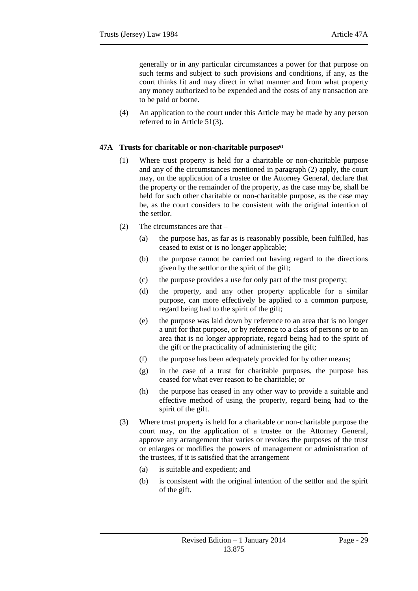generally or in any particular circumstances a power for that purpose on such terms and subject to such provisions and conditions, if any, as the court thinks fit and may direct in what manner and from what property any money authorized to be expended and the costs of any transaction are to be paid or borne.

(4) An application to the court under this Article may be made by any person referred to in Article 51(3).

### <span id="page-28-0"></span>**47A Trusts for charitable or non-charitable purposes<sup>61</sup>**

- (1) Where trust property is held for a charitable or non-charitable purpose and any of the circumstances mentioned in paragraph (2) apply, the court may, on the application of a trustee or the Attorney General, declare that the property or the remainder of the property, as the case may be, shall be held for such other charitable or non-charitable purpose, as the case may be, as the court considers to be consistent with the original intention of the settlor.
- (2) The circumstances are that
	- (a) the purpose has, as far as is reasonably possible, been fulfilled, has ceased to exist or is no longer applicable;
	- (b) the purpose cannot be carried out having regard to the directions given by the settlor or the spirit of the gift;
	- (c) the purpose provides a use for only part of the trust property;
	- (d) the property, and any other property applicable for a similar purpose, can more effectively be applied to a common purpose, regard being had to the spirit of the gift;
	- (e) the purpose was laid down by reference to an area that is no longer a unit for that purpose, or by reference to a class of persons or to an area that is no longer appropriate, regard being had to the spirit of the gift or the practicality of administering the gift;
	- (f) the purpose has been adequately provided for by other means;
	- (g) in the case of a trust for charitable purposes, the purpose has ceased for what ever reason to be charitable; or
	- (h) the purpose has ceased in any other way to provide a suitable and effective method of using the property, regard being had to the spirit of the gift.
- (3) Where trust property is held for a charitable or non-charitable purpose the court may, on the application of a trustee or the Attorney General, approve any arrangement that varies or revokes the purposes of the trust or enlarges or modifies the powers of management or administration of the trustees, if it is satisfied that the arrangement –
	- (a) is suitable and expedient; and
	- (b) is consistent with the original intention of the settlor and the spirit of the gift.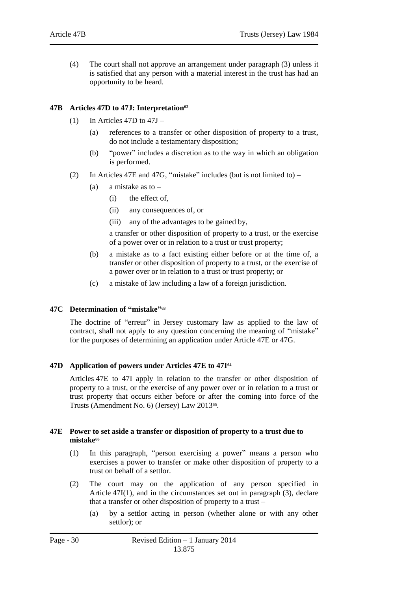(4) The court shall not approve an arrangement under paragraph (3) unless it is satisfied that any person with a material interest in the trust has had an opportunity to be heard.

## <span id="page-29-0"></span>**47B Articles 47D to 47J: Interpretation<sup>62</sup>**

- (1) In Articles 47D to  $47J -$ 
	- (a) references to a transfer or other disposition of property to a trust, do not include a testamentary disposition;
	- (b) "power" includes a discretion as to the way in which an obligation is performed.
- (2) In Articles 47E and 47G, "mistake" includes (but is not limited to)
	- (a) a mistake as to  $-$ 
		- (i) the effect of,
		- (ii) any consequences of, or
		- (iii) any of the advantages to be gained by,

a transfer or other disposition of property to a trust, or the exercise of a power over or in relation to a trust or trust property;

- (b) a mistake as to a fact existing either before or at the time of, a transfer or other disposition of property to a trust, or the exercise of a power over or in relation to a trust or trust property; or
- (c) a mistake of law including a law of a foreign jurisdiction.

#### <span id="page-29-1"></span>**47C Determination of "mistake" 63**

The doctrine of "erreur" in Jersey customary law as applied to the law of contract, shall not apply to any question concerning the meaning of "mistake" for the purposes of determining an application under Article 47E or 47G.

#### <span id="page-29-2"></span>**47D Application of powers under Articles 47E to 47I<sup>64</sup>**

Articles 47E to 47I apply in relation to the transfer or other disposition of property to a trust, or the exercise of any power over or in relation to a trust or trust property that occurs either before or after the coming into force of the Trusts (Amendment No. 6) (Jersey) Law 2013<sup>65</sup>.

#### <span id="page-29-3"></span>**47E Power to set aside a transfer or disposition of property to a trust due to mistake<sup>66</sup>**

- (1) In this paragraph, "person exercising a power" means a person who exercises a power to transfer or make other disposition of property to a trust on behalf of a settlor.
- (2) The court may on the application of any person specified in Article 47I(1), and in the circumstances set out in paragraph (3), declare that a transfer or other disposition of property to a trust –
	- (a) by a settlor acting in person (whether alone or with any other settlor); or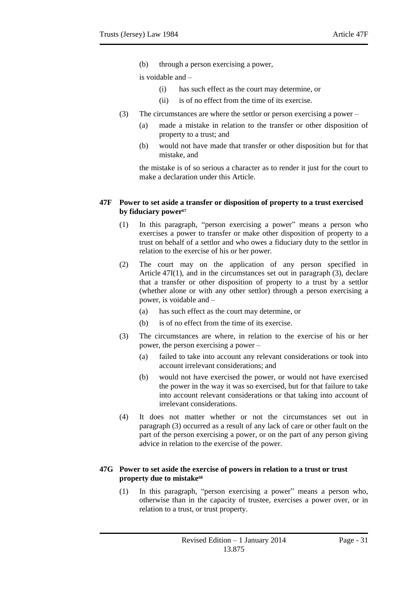(b) through a person exercising a power,

is voidable and –

- (i) has such effect as the court may determine, or
- (ii) is of no effect from the time of its exercise.
- (3) The circumstances are where the settlor or person exercising a power
	- (a) made a mistake in relation to the transfer or other disposition of property to a trust; and
	- (b) would not have made that transfer or other disposition but for that mistake, and

the mistake is of so serious a character as to render it just for the court to make a declaration under this Article.

#### <span id="page-30-0"></span>**47F Power to set aside a transfer or disposition of property to a trust exercised by fiduciary power<sup>67</sup>**

- (1) In this paragraph, "person exercising a power" means a person who exercises a power to transfer or make other disposition of property to a trust on behalf of a settlor and who owes a fiduciary duty to the settlor in relation to the exercise of his or her power.
- (2) The court may on the application of any person specified in Article  $47I(1)$ , and in the circumstances set out in paragraph  $(3)$ , declare that a transfer or other disposition of property to a trust by a settlor (whether alone or with any other settlor) through a person exercising a power, is voidable and –
	- (a) has such effect as the court may determine, or
	- (b) is of no effect from the time of its exercise.
- (3) The circumstances are where, in relation to the exercise of his or her power, the person exercising a power –
	- (a) failed to take into account any relevant considerations or took into account irrelevant considerations; and
	- (b) would not have exercised the power, or would not have exercised the power in the way it was so exercised, but for that failure to take into account relevant considerations or that taking into account of irrelevant considerations.
- (4) It does not matter whether or not the circumstances set out in paragraph (3) occurred as a result of any lack of care or other fault on the part of the person exercising a power, or on the part of any person giving advice in relation to the exercise of the power.

#### <span id="page-30-1"></span>**47G Power to set aside the exercise of powers in relation to a trust or trust property due to mistake<sup>68</sup>**

(1) In this paragraph, "person exercising a power" means a person who, otherwise than in the capacity of trustee, exercises a power over, or in relation to a trust, or trust property.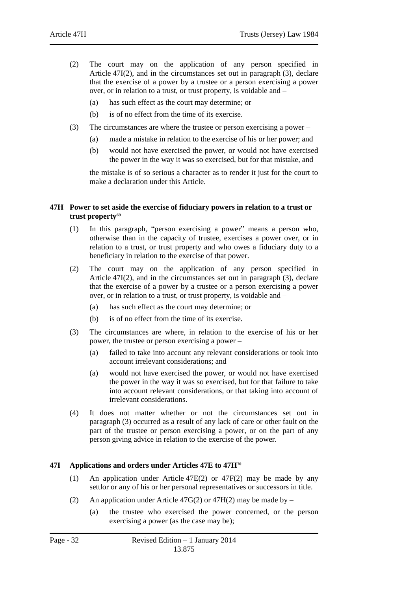- (2) The court may on the application of any person specified in Article 47I(2), and in the circumstances set out in paragraph (3), declare that the exercise of a power by a trustee or a person exercising a power over, or in relation to a trust, or trust property, is voidable and –
	- (a) has such effect as the court may determine; or
	- (b) is of no effect from the time of its exercise.
- (3) The circumstances are where the trustee or person exercising a power
	- (a) made a mistake in relation to the exercise of his or her power; and
	- (b) would not have exercised the power, or would not have exercised the power in the way it was so exercised, but for that mistake, and

the mistake is of so serious a character as to render it just for the court to make a declaration under this Article.

#### <span id="page-31-0"></span>**47H Power to set aside the exercise of fiduciary powers in relation to a trust or trust property<sup>69</sup>**

- (1) In this paragraph, "person exercising a power" means a person who, otherwise than in the capacity of trustee, exercises a power over, or in relation to a trust, or trust property and who owes a fiduciary duty to a beneficiary in relation to the exercise of that power.
- (2) The court may on the application of any person specified in Article 47I(2), and in the circumstances set out in paragraph (3), declare that the exercise of a power by a trustee or a person exercising a power over, or in relation to a trust, or trust property, is voidable and –
	- (a) has such effect as the court may determine; or
	- (b) is of no effect from the time of its exercise.
- (3) The circumstances are where, in relation to the exercise of his or her power, the trustee or person exercising a power –
	- (a) failed to take into account any relevant considerations or took into account irrelevant considerations; and
	- (a) would not have exercised the power, or would not have exercised the power in the way it was so exercised, but for that failure to take into account relevant considerations, or that taking into account of irrelevant considerations.
- (4) It does not matter whether or not the circumstances set out in paragraph (3) occurred as a result of any lack of care or other fault on the part of the trustee or person exercising a power, or on the part of any person giving advice in relation to the exercise of the power.

# <span id="page-31-1"></span>**47I Applications and orders under Articles 47E to 47H<sup>70</sup>**

- (1) An application under Article 47E(2) or 47F(2) may be made by any settlor or any of his or her personal representatives or successors in title.
- (2) An application under Article 47G(2) or 47H(2) may be made by
	- (a) the trustee who exercised the power concerned, or the person exercising a power (as the case may be);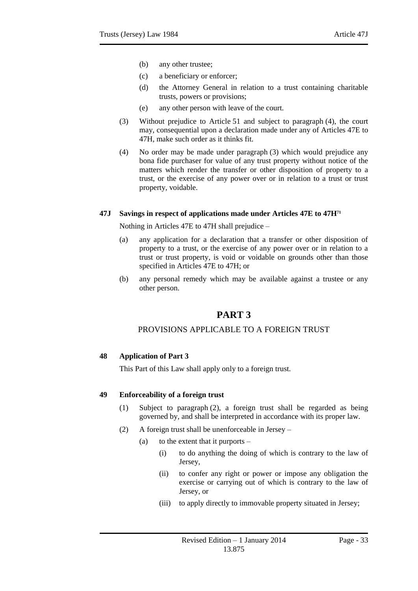- (b) any other trustee;
- (c) a beneficiary or enforcer;
- (d) the Attorney General in relation to a trust containing charitable trusts, powers or provisions;
- (e) any other person with leave of the court.
- (3) Without prejudice to Article 51 and subject to paragraph (4), the court may, consequential upon a declaration made under any of Articles 47E to 47H, make such order as it thinks fit.
- (4) No order may be made under paragraph (3) which would prejudice any bona fide purchaser for value of any trust property without notice of the matters which render the transfer or other disposition of property to a trust, or the exercise of any power over or in relation to a trust or trust property, voidable.

#### <span id="page-32-0"></span>**47J Savings in respect of applications made under Articles 47E to 47H<sup>71</sup>**

Nothing in Articles 47E to 47H shall prejudice –

- (a) any application for a declaration that a transfer or other disposition of property to a trust, or the exercise of any power over or in relation to a trust or trust property, is void or voidable on grounds other than those specified in Articles 47E to 47H; or
- <span id="page-32-1"></span>(b) any personal remedy which may be available against a trustee or any other person.

# **PART 3**

# PROVISIONS APPLICABLE TO A FOREIGN TRUST

#### <span id="page-32-3"></span><span id="page-32-2"></span>**48 Application of Part 3**

This Part of this Law shall apply only to a foreign trust.

#### <span id="page-32-4"></span>**49 Enforceability of a foreign trust**

- (1) Subject to paragraph (2), a foreign trust shall be regarded as being governed by, and shall be interpreted in accordance with its proper law.
- (2) A foreign trust shall be unenforceable in Jersey
	- (a) to the extent that it purports  $-$ 
		- (i) to do anything the doing of which is contrary to the law of Jersey,
		- (ii) to confer any right or power or impose any obligation the exercise or carrying out of which is contrary to the law of Jersey, or
		- (iii) to apply directly to immovable property situated in Jersey;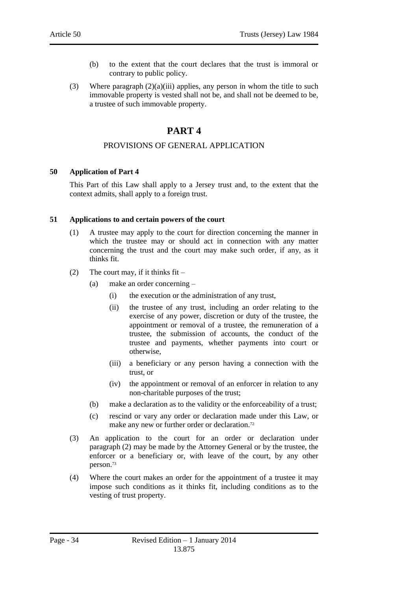- (b) to the extent that the court declares that the trust is immoral or contrary to public policy.
- <span id="page-33-0"></span>(3) Where paragraph  $(2)(a)(iii)$  applies, any person in whom the title to such immovable property is vested shall not be, and shall not be deemed to be, a trustee of such immovable property.

# **PART 4**

# PROVISIONS OF GENERAL APPLICATION

### <span id="page-33-2"></span><span id="page-33-1"></span>**50 Application of Part 4**

This Part of this Law shall apply to a Jersey trust and, to the extent that the context admits, shall apply to a foreign trust.

### <span id="page-33-3"></span>**51 Applications to and certain powers of the court**

- (1) A trustee may apply to the court for direction concerning the manner in which the trustee may or should act in connection with any matter concerning the trust and the court may make such order, if any, as it thinks fit.
- (2) The court may, if it thinks  $fit -$ 
	- (a) make an order concerning
		- (i) the execution or the administration of any trust,
		- (ii) the trustee of any trust, including an order relating to the exercise of any power, discretion or duty of the trustee, the appointment or removal of a trustee, the remuneration of a trustee, the submission of accounts, the conduct of the trustee and payments, whether payments into court or otherwise,
		- (iii) a beneficiary or any person having a connection with the trust, or
		- (iv) the appointment or removal of an enforcer in relation to any non-charitable purposes of the trust;
	- (b) make a declaration as to the validity or the enforceability of a trust;
	- (c) rescind or vary any order or declaration made under this Law, or make any new or further order or declaration.<sup>72</sup>
- (3) An application to the court for an order or declaration under paragraph (2) may be made by the Attorney General or by the trustee, the enforcer or a beneficiary or, with leave of the court, by any other person. 73
- (4) Where the court makes an order for the appointment of a trustee it may impose such conditions as it thinks fit, including conditions as to the vesting of trust property.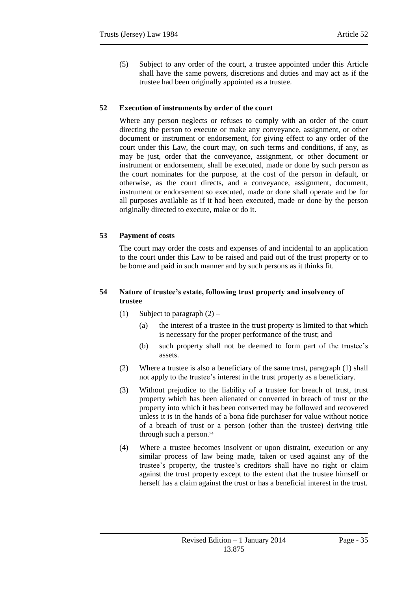(5) Subject to any order of the court, a trustee appointed under this Article shall have the same powers, discretions and duties and may act as if the trustee had been originally appointed as a trustee.

# <span id="page-34-0"></span>**52 Execution of instruments by order of the court**

Where any person neglects or refuses to comply with an order of the court directing the person to execute or make any conveyance, assignment, or other document or instrument or endorsement, for giving effect to any order of the court under this Law, the court may, on such terms and conditions, if any, as may be just, order that the conveyance, assignment, or other document or instrument or endorsement, shall be executed, made or done by such person as the court nominates for the purpose, at the cost of the person in default, or otherwise, as the court directs, and a conveyance, assignment, document, instrument or endorsement so executed, made or done shall operate and be for all purposes available as if it had been executed, made or done by the person originally directed to execute, make or do it.

# <span id="page-34-1"></span>**53 Payment of costs**

The court may order the costs and expenses of and incidental to an application to the court under this Law to be raised and paid out of the trust property or to be borne and paid in such manner and by such persons as it thinks fit.

# <span id="page-34-2"></span>**54 Nature of trustee's estate, following trust property and insolvency of trustee**

- (1) Subject to paragraph  $(2)$ 
	- (a) the interest of a trustee in the trust property is limited to that which is necessary for the proper performance of the trust; and
	- (b) such property shall not be deemed to form part of the trustee's assets.
- (2) Where a trustee is also a beneficiary of the same trust, paragraph (1) shall not apply to the trustee's interest in the trust property as a beneficiary.
- (3) Without prejudice to the liability of a trustee for breach of trust, trust property which has been alienated or converted in breach of trust or the property into which it has been converted may be followed and recovered unless it is in the hands of a bona fide purchaser for value without notice of a breach of trust or a person (other than the trustee) deriving title through such a person. 74
- (4) Where a trustee becomes insolvent or upon distraint, execution or any similar process of law being made, taken or used against any of the trustee's property, the trustee's creditors shall have no right or claim against the trust property except to the extent that the trustee himself or herself has a claim against the trust or has a beneficial interest in the trust.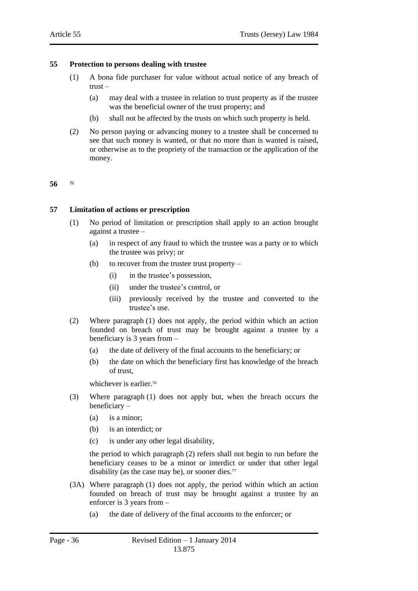#### <span id="page-35-0"></span>**55 Protection to persons dealing with trustee**

- (1) A bona fide purchaser for value without actual notice of any breach of trust –
	- (a) may deal with a trustee in relation to trust property as if the trustee was the beneficial owner of the trust property; and
	- (b) shall not be affected by the trusts on which such property is held.
- (2) No person paying or advancing money to a trustee shall be concerned to see that such money is wanted, or that no more than is wanted is raised, or otherwise as to the propriety of the transaction or the application of the money.

#### <span id="page-35-2"></span><span id="page-35-1"></span>**56 <sup>75</sup>**

#### **57 Limitation of actions or prescription**

- (1) No period of limitation or prescription shall apply to an action brought against a trustee –
	- (a) in respect of any fraud to which the trustee was a party or to which the trustee was privy; or
	- (b) to recover from the trustee trust property  $-$ 
		- (i) in the trustee's possession,
		- (ii) under the trustee's control, or
		- (iii) previously received by the trustee and converted to the trustee's use.
- (2) Where paragraph (1) does not apply, the period within which an action founded on breach of trust may be brought against a trustee by a beneficiary is 3 years from –
	- (a) the date of delivery of the final accounts to the beneficiary; or
	- (b) the date on which the beneficiary first has knowledge of the breach of trust,

whichever is earlier.<sup>76</sup>

- (3) Where paragraph (1) does not apply but, when the breach occurs the beneficiary –
	- (a) is a minor;
	- (b) is an interdict; or
	- (c) is under any other legal disability,

the period to which paragraph (2) refers shall not begin to run before the beneficiary ceases to be a minor or interdict or under that other legal disability (as the case may be), or sooner dies. $77$ 

- (3A) Where paragraph (1) does not apply, the period within which an action founded on breach of trust may be brought against a trustee by an enforcer is 3 years from –
	- (a) the date of delivery of the final accounts to the enforcer; or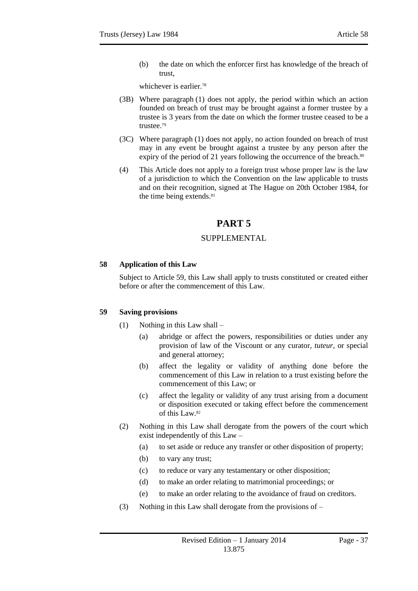(b) the date on which the enforcer first has knowledge of the breach of trust,

whichever is earlier.<sup>78</sup>

- (3B) Where paragraph (1) does not apply, the period within which an action founded on breach of trust may be brought against a former trustee by a trustee is 3 years from the date on which the former trustee ceased to be a trustee.<sup>79</sup>
- (3C) Where paragraph (1) does not apply, no action founded on breach of trust may in any event be brought against a trustee by any person after the expiry of the period of 21 years following the occurrence of the breach.<sup>80</sup>
- <span id="page-36-0"></span>(4) This Article does not apply to a foreign trust whose proper law is the law of a jurisdiction to which the Convention on the law applicable to trusts and on their recognition, signed at The Hague on 20th October 1984, for the time being extends.<sup>81</sup>

# **PART 5**

# SUPPLEMENTAL

# <span id="page-36-2"></span><span id="page-36-1"></span>**58 Application of this Law**

Subject to Article 59, this Law shall apply to trusts constituted or created either before or after the commencement of this Law.

# <span id="page-36-3"></span>**59 Saving provisions**

- (1) Nothing in this Law shall
	- (a) abridge or affect the powers, responsibilities or duties under any provision of law of the Viscount or any curator, *tuteur*, or special and general attorney;
	- (b) affect the legality or validity of anything done before the commencement of this Law in relation to a trust existing before the commencement of this Law; or
	- (c) affect the legality or validity of any trust arising from a document or disposition executed or taking effect before the commencement of this Law. 82
- (2) Nothing in this Law shall derogate from the powers of the court which exist independently of this Law –
	- (a) to set aside or reduce any transfer or other disposition of property;
	- (b) to vary any trust;
	- (c) to reduce or vary any testamentary or other disposition;
	- (d) to make an order relating to matrimonial proceedings; or
	- (e) to make an order relating to the avoidance of fraud on creditors.
- (3) Nothing in this Law shall derogate from the provisions of –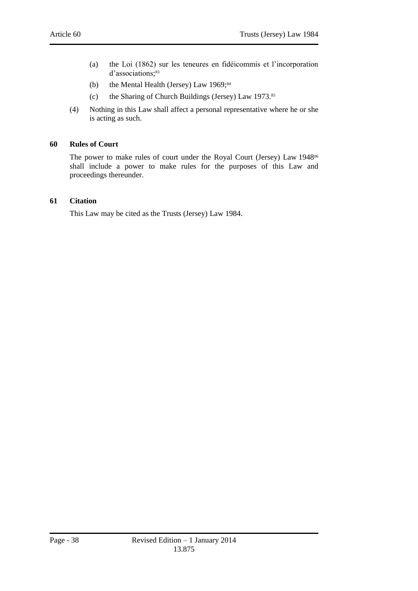- (a) the Loi (1862) sur les teneures en fidéicommis et l'incorporation d'associations; 83
- (b) the Mental Health (Jersey) Law 1969;<sup>84</sup>
- (c) the Sharing of Church Buildings (Jersey) Law 1973. 85
- (4) Nothing in this Law shall affect a personal representative where he or she is acting as such.

#### <span id="page-37-0"></span>**60 Rules of Court**

The power to make rules of court under the Royal Court (Jersey) Law 1948<sup>86</sup> shall include a power to make rules for the purposes of this Law and proceedings thereunder.

#### <span id="page-37-1"></span>**61 Citation**

This Law may be cited as the Trusts (Jersey) Law 1984.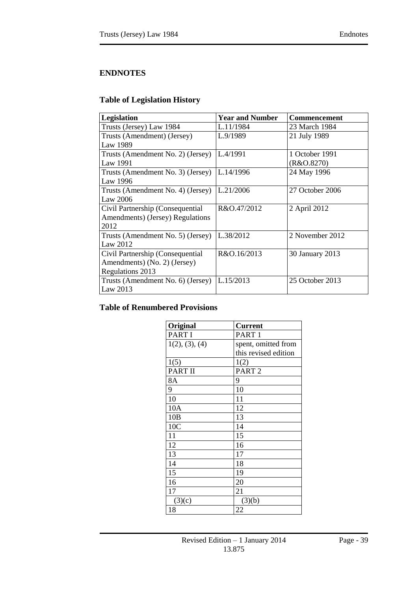# <span id="page-38-3"></span><span id="page-38-0"></span>**ENDNOTES**

# <span id="page-38-1"></span>**Table of Legislation History**

| Legislation                       | <b>Year and Number</b> | Commencement    |
|-----------------------------------|------------------------|-----------------|
| Trusts (Jersey) Law 1984          | L.11/1984              | 23 March 1984   |
| Trusts (Amendment) (Jersey)       | L.9/1989               | 21 July 1989    |
| Law 1989                          |                        |                 |
| Trusts (Amendment No. 2) (Jersey) | L.4/1991               | 1 October 1991  |
| Law 1991                          |                        | (R&O.8270)      |
| Trusts (Amendment No. 3) (Jersey) | L.14/1996              | 24 May 1996     |
| Law 1996                          |                        |                 |
| Trusts (Amendment No. 4) (Jersey) | L.21/2006              | 27 October 2006 |
| Law $2006$                        |                        |                 |
| Civil Partnership (Consequential  | R&O.47/2012            | 2 April 2012    |
| Amendments) (Jersey) Regulations  |                        |                 |
| 2012                              |                        |                 |
| Trusts (Amendment No. 5) (Jersey) | L.38/2012              | 2 November 2012 |
| Law 2012                          |                        |                 |
| Civil Partnership (Consequential  | R&O.16/2013            | 30 January 2013 |
| Amendments) (No. 2) (Jersey)      |                        |                 |
| Regulations 2013                  |                        |                 |
| Trusts (Amendment No. 6) (Jersey) | L.15/2013              | 25 October 2013 |
| Law 2013                          |                        |                 |

# <span id="page-38-2"></span>**Table of Renumbered Provisions**

| Original       | <b>Current</b>       |
|----------------|----------------------|
| <b>PART I</b>  | PART <sub>1</sub>    |
| 1(2), (3), (4) | spent, omitted from  |
|                | this revised edition |
| 1(5)           | 1(2)                 |
| PART II        | PART <sub>2</sub>    |
| 8A             | 9                    |
| 9              | 10                   |
| 10             | 11                   |
| 10A            | 12                   |
| 10B            | 13                   |
| 10C            | 14                   |
| 11             | 15                   |
| 12             | 16                   |
| 13             | 17                   |
| 14             | 18                   |
| 15             | 19                   |
| 16             | 20                   |
| 17             | 21                   |
| (3)(c)         | (3)(b)               |
| 18             | 22                   |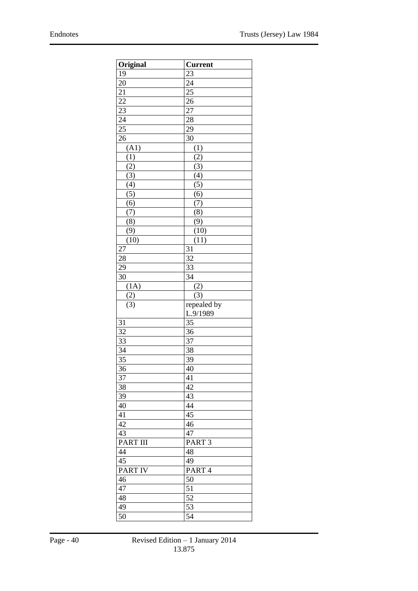| Original                        | <b>Current</b>                         |
|---------------------------------|----------------------------------------|
| 19                              | $2\overline{3}$                        |
| $\overline{20}$                 | 24                                     |
|                                 | $\overline{25}$                        |
| $\frac{21}{22}$                 | $\overline{26}$                        |
| $\frac{23}{5}$                  | $\overline{27}$                        |
| 24                              | 28                                     |
| $\overline{25}$                 | $\overline{29}$                        |
| 26                              | 30                                     |
| (A1)                            | (1)                                    |
| (1)                             | (2)                                    |
| (2)                             |                                        |
|                                 |                                        |
| $\frac{(3)}{(3)}$<br>(4)<br>(5) | $\frac{(3)}{(4)}$<br>$\frac{(5)}{(6)}$ |
|                                 |                                        |
| $\overline{(6)}$                | $\overline{(7)}$                       |
| $\overline{(7)}$                | $\overline{(8)}$                       |
| $\overline{(8)}$                | (9)                                    |
| (9)                             | (10)                                   |
| (10)                            | (11)                                   |
| 27                              | 31                                     |
| 28                              | 32                                     |
| 29                              | 33                                     |
| $\overline{3}0$                 | 34                                     |
| (1A)                            | (2)                                    |
| (2)                             | (3)                                    |
| $\overline{(3)}$                | repealed by                            |
|                                 | L.9/1989                               |
| 31                              | $\overline{35}$                        |
| $\overline{32}$                 | 36                                     |
| 33                              | $\overline{37}$                        |
| $\overline{34}$                 | 38                                     |
| $\overline{35}$                 | 39                                     |
| $\overline{36}$                 | 40                                     |
| 37                              | 41                                     |
| 38                              | 42                                     |
| 39                              | 43                                     |
| 40                              | 44                                     |
| 41                              | 45                                     |
| 42                              | 46                                     |
| 43                              | 47                                     |
| <b>PART III</b>                 | PART <sub>3</sub>                      |
| 44                              | 48                                     |
| $\overline{45}$                 | 49                                     |
| <b>PART IV</b>                  | PART4                                  |
| 46                              | 50                                     |
| 47                              | 51                                     |
| 48                              | $5\overline{2}$                        |
| 49                              | 53                                     |
| 50                              | 54                                     |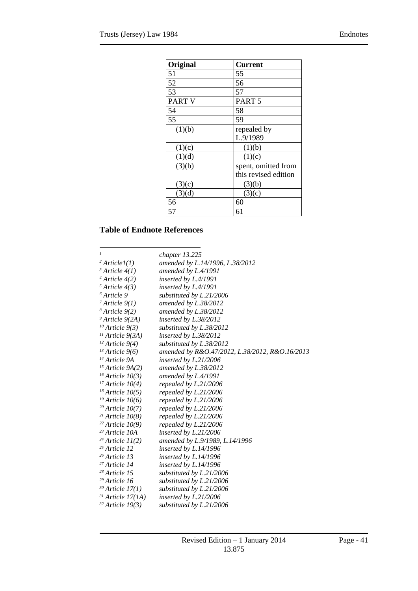| Original      | Current              |
|---------------|----------------------|
| 51            | 55                   |
| 52            | 56                   |
| 53            | 57                   |
| <b>PART V</b> | PART <sub>5</sub>    |
| 54            | 58                   |
| 55            | 59                   |
| (1)(b)        | repealed by          |
|               | L.9/1989             |
| (1)(c)        | (1)(b)               |
| (1)(d)        | (1)(c)               |
| (3)(b)        | spent, omitted from  |
|               | this revised edition |
| (3)(c)        | (3)(b)               |
| (3)(d)        | (3)(c)               |
| 56            | 60                   |
| 57            | 61                   |

# <span id="page-40-0"></span>**Table of Endnote References**

| 1                         | chapter 13.225                                 |
|---------------------------|------------------------------------------------|
| $2 Article I(1)$          | amended by L.14/1996, L.38/2012                |
| $3$ Article $4(1)$        | amended by $L.4/1991$                          |
| $4$ Article $4(2)$        | inserted by L.4/1991                           |
| $5 Article 4(3)$          | inserted by L.4/1991                           |
| <sup>6</sup> Article 9    | substituted by L.21/2006                       |
| $7$ Article $9(1)$        | amended by L.38/2012                           |
| $8$ Article $9(2)$        | amended by L.38/2012                           |
| $9$ Article $9(2A)$       | inserted by L.38/2012                          |
| $10$ Article $9(3)$       | substituted by L.38/2012                       |
| $11$ Article 9(3A)        | inserted by L.38/2012                          |
| $12$ Article 9(4)         | substituted by L.38/2012                       |
| $13$ Article 9(6)         | amended by R&O.47/2012, L.38/2012, R&O.16/2013 |
| <sup>14</sup> Article 9A  | inserted by L.21/2006                          |
| $15$ Article $9A(2)$      | amended by L.38/2012                           |
| $16$ Article $10(3)$      | amended by L.4/1991                            |
| $17$ Article $10(4)$      | repealed by L.21/2006                          |
| $18$ Article 10(5)        | repealed by L.21/2006                          |
| $19$ Article 10(6)        | repealed by L.21/2006                          |
| $20$ Article 10(7)        | repealed by L.21/2006                          |
| $21$ Article 10(8)        | repealed by L.21/2006                          |
| $22$ Article 10(9)        | repealed by L.21/2006                          |
| <sup>23</sup> Article 10A | inserted by L.21/2006                          |
| $24$ Article 11(2)        | amended by L.9/1989, L.14/1996                 |
| $25$ Article 12           | inserted by $L.14/1996$                        |
| <sup>26</sup> Article 13  | inserted by L.14/1996                          |
| <sup>27</sup> Article 14  | inserted by L.14/1996                          |
| <sup>28</sup> Article 15  | substituted by L.21/2006                       |
| $29$ Article 16           | substituted by L.21/2006                       |
| $30$ Article 17(1)        | substituted by L.21/2006                       |
| $31$ Article 17(1A)       | inserted by L.21/2006                          |
| $32$ Article 19(3)        | substituted by L.21/2006                       |
|                           |                                                |